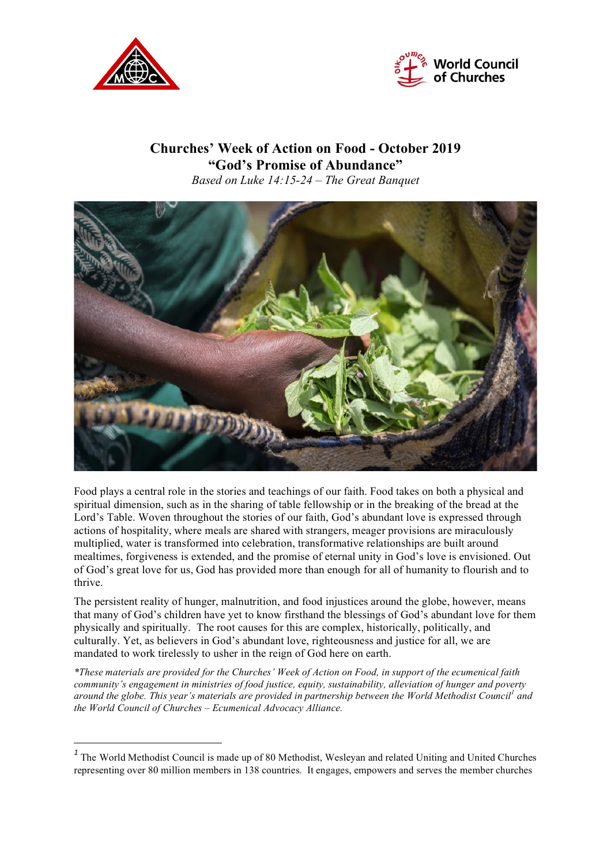

 $\overline{a}$ 



## **Churches' Week of Action on Food - October 2019 "God's Promise of Abundance"** *Based on Luke 14:15-24 – The Great Banquet*



Food plays a central role in the stories and teachings of our faith. Food takes on both a physical and spiritual dimension, such as in the sharing of table fellowship or in the breaking of the bread at the Lord's Table. Woven throughout the stories of our faith, God's abundant love is expressed through actions of hospitality, where meals are shared with strangers, meager provisions are miraculously multiplied, water is transformed into celebration, transformative relationships are built around mealtimes, forgiveness is extended, and the promise of eternal unity in God's love is envisioned. Out of God's great love for us, God has provided more than enough for all of humanity to flourish and to thrive.

The persistent reality of hunger, malnutrition, and food injustices around the globe, however, means that many of God's children have yet to know firsthand the blessings of God's abundant love for them physically and spiritually. The root causes for this are complex, historically, politically, and culturally. Yet, as believers in God's abundant love, righteousness and justice for all, we are mandated to work tirelessly to usher in the reign of God here on earth.

\*These materials are provided for the Churches' Week of Action on Food, in support of the ecumenical faith *community's engagement in ministries of food justice, equity, sustainability, alleviation of hunger and poverty* around the globe. This year's materials are provided in partnership between the World Methodist Council<sup>1</sup> and *the World Council of Churches – Ecumenical Advocacy Alliance.*

<sup>&</sup>lt;sup>1</sup> The World Methodist Council is made up of 80 Methodist, Wesleyan and related Uniting and United Churches representing over 80 million members in 138 countries. It engages, empowers and serves the member churches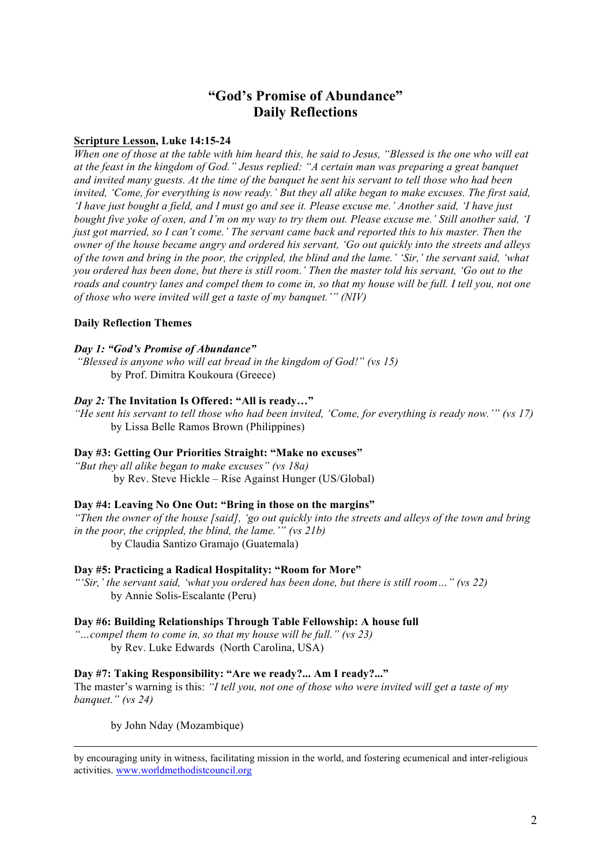# **"God's Promise of Abundance" Daily Reflections**

#### **Scripture Lesson, Luke 14:15-24**

When one of those at the table with him heard this, he said to Jesus, "Blessed is the one who will eat *at the feast in the kingdom of God." Jesus replied: "A certain man was preparing a great banquet* and invited many guests. At the time of the banquet he sent his servant to tell those who had been invited. 'Come, for everything is now ready,' But they all alike began to make excuses. The first said, 'I have just bought a field, and I must go and see it. Please excuse me.' Another said, 'I have just bought five yoke of oxen, and I'm on my way to try them out. Please excuse me.' Still another said, 'I just got married, so I can't come.' The servant came back and reported this to his master. Then the owner of the house became angry and ordered his servant, 'Go out quickly into the streets and alleys of the town and bring in the poor, the crippled, the blind and the lame.' 'Sir,' the servant said, 'what you ordered has been done, but there is still room.' Then the master told his servant, 'Go out to the roads and country lanes and compel them to come in, so that my house will be full. I tell you, not one *of those who were invited will get a taste of my banquet.'" (NIV)*

#### **Daily Reflection Themes**

#### *Day 1: "God's Promise of Abundance"*

*"Blessed is anyone who will eat bread in the kingdom of God!" (vs 15)* by Prof. Dimitra Koukoura (Greece)

#### *Day 2:* **The Invitation Is Offered: "All is ready…"**

"He sent his servant to tell those who had been invited, 'Come, for everything is ready now.'" (vs 17) by Lissa Belle Ramos Brown (Philippines)

#### **Day #3: Getting Our Priorities Straight: "Make no excuses"**

*"But they all alike began to make excuses" (vs 18a)* by Rev. Steve Hickle – Rise Against Hunger (US/Global)

#### **Day #4: Leaving No One Out: "Bring in those on the margins"**

"Then the owner of the house [said], 'go out quickly into the streets and alleys of the town and bring *in the poor, the crippled, the blind, the lame.'" (vs 21b)* by Claudia Santizo Gramajo (Guatemala)

#### **Day #5: Practicing a Radical Hospitality: "Room for More"**

*"'Sir,' the servant said, 'what you ordered has been done, but there is still room…" (vs 22)* by Annie Solis-Escalante (Peru)

#### **Day #6: Building Relationships Through Table Fellowship: A house full**

*"…compel them to come in, so that my house will be full." (vs 23)* by Rev. Luke Edwards (North Carolina, USA)

#### **Day #7: Taking Responsibility: "Are we ready?... Am I ready?..."**

The master's warning is this: *"I tell you, not one of those who were invited will get a taste of my banquet." (vs 24)*

by John Nday (Mozambique)

 by encouraging unity in witness, facilitating mission in the world, and fostering ecumenical and inter-religious activities. www.worldmethodistcouncil.org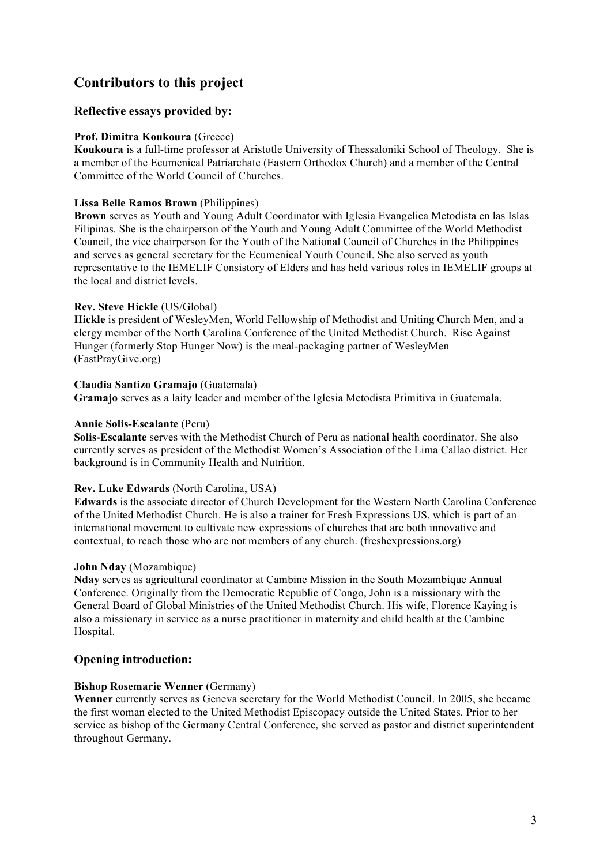# **Contributors to this project**

## **Reflective essays provided by:**

#### **Prof. Dimitra Koukoura** (Greece)

**Koukoura** is a full-time professor at Aristotle University of Thessaloniki School of Theology. She is a member of the Ecumenical Patriarchate (Eastern Orthodox Church) and a member of the Central Committee of the World Council of Churches.

#### **Lissa Belle Ramos Brown** (Philippines)

**Brown** serves as Youth and Young Adult Coordinator with Iglesia Evangelica Metodista en las Islas Filipinas. She is the chairperson of the Youth and Young Adult Committee of the World Methodist Council, the vice chairperson for the Youth of the National Council of Churches in the Philippines and serves as general secretary for the Ecumenical Youth Council. She also served as youth representative to the IEMELIF Consistory of Elders and has held various roles in IEMELIF groups at the local and district levels.

#### **Rev. Steve Hickle** (US/Global)

**Hickle** is president of WesleyMen, World Fellowship of Methodist and Uniting Church Men, and a clergy member of the North Carolina Conference of the United Methodist Church. Rise Against Hunger (formerly Stop Hunger Now) is the meal-packaging partner of WesleyMen (FastPrayGive.org)

#### **Claudia Santizo Gramajo** (Guatemala)

**Gramajo** serves as a laity leader and member of the Iglesia Metodista Primitiva in Guatemala.

#### **Annie Solis-Escalante** (Peru)

**Solis-Escalante** serves with the Methodist Church of Peru as national health coordinator. She also currently serves as president of the Methodist Women's Association of the Lima Callao district. Her background is in Community Health and Nutrition.

### **Rev. Luke Edwards** (North Carolina, USA)

**Edwards** is the associate director of Church Development for the Western North Carolina Conference of the United Methodist Church. He is also a trainer for Fresh Expressions US, which is part of an international movement to cultivate new expressions of churches that are both innovative and contextual, to reach those who are not members of any church. (freshexpressions.org)

#### **John Nday** (Mozambique)

**Nday** serves as agricultural coordinator at Cambine Mission in the South Mozambique Annual Conference. Originally from the Democratic Republic of Congo, John is a missionary with the General Board of Global Ministries of the United Methodist Church. His wife, Florence Kaying is also a missionary in service as a nurse practitioner in maternity and child health at the Cambine Hospital.

### **Opening introduction:**

### **Bishop Rosemarie Wenner** (Germany)

**Wenner** currently serves as Geneva secretary for the World Methodist Council. In 2005, she became the first woman elected to the United Methodist Episcopacy outside the United States. Prior to her service as bishop of the Germany Central Conference, she served as pastor and district superintendent throughout Germany.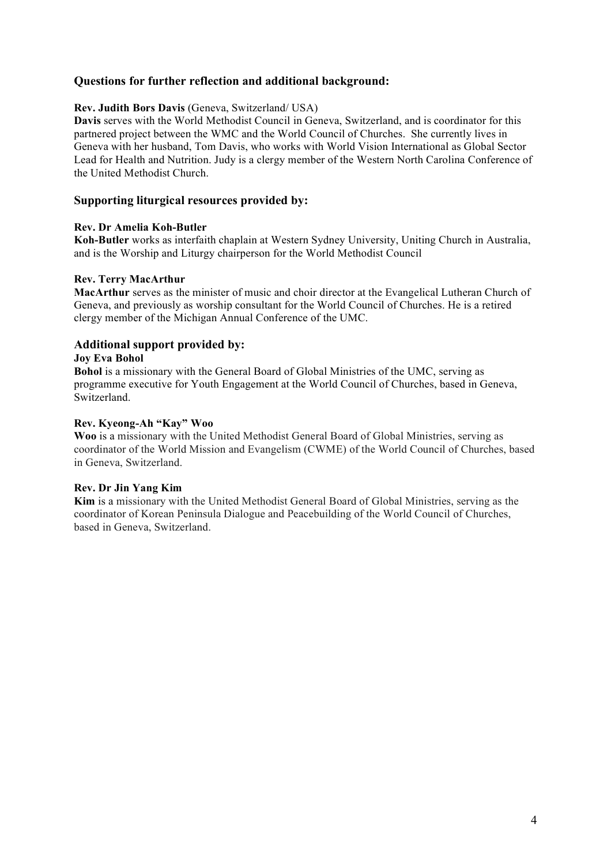## **Questions for further reflection and additional background:**

#### **Rev. Judith Bors Davis** (Geneva, Switzerland/ USA)

**Davis** serves with the World Methodist Council in Geneva, Switzerland, and is coordinator for this partnered project between the WMC and the World Council of Churches. She currently lives in Geneva with her husband, Tom Davis, who works with World Vision International as Global Sector Lead for Health and Nutrition. Judy is a clergy member of the Western North Carolina Conference of the United Methodist Church.

### **Supporting liturgical resources provided by:**

#### **Rev. Dr Amelia Koh-Butler**

**Koh-Butler** works as interfaith chaplain at Western Sydney University, Uniting Church in Australia, and is the Worship and Liturgy chairperson for the World Methodist Council

#### **Rev. Terry MacArthur**

**MacArthur** serves as the minister of music and choir director at the Evangelical Lutheran Church of Geneva, and previously as worship consultant for the World Council of Churches. He is a retired clergy member of the Michigan Annual Conference of the UMC.

### **Additional support provided by:**

#### **Joy Eva Bohol**

**Bohol** is a missionary with the General Board of Global Ministries of the UMC, serving as programme executive for Youth Engagement at the World Council of Churches, based in Geneva, Switzerland.

#### **Rev. Kyeong-Ah "Kay" Woo**

**Woo** is a missionary with the United Methodist General Board of Global Ministries, serving as coordinator of the World Mission and Evangelism (CWME) of the World Council of Churches, based in Geneva, Switzerland.

#### **Rev. Dr Jin Yang Kim**

**Kim** is a missionary with the United Methodist General Board of Global Ministries, serving as the coordinator of Korean Peninsula Dialogue and Peacebuilding of the World Council of Churches, based in Geneva, Switzerland.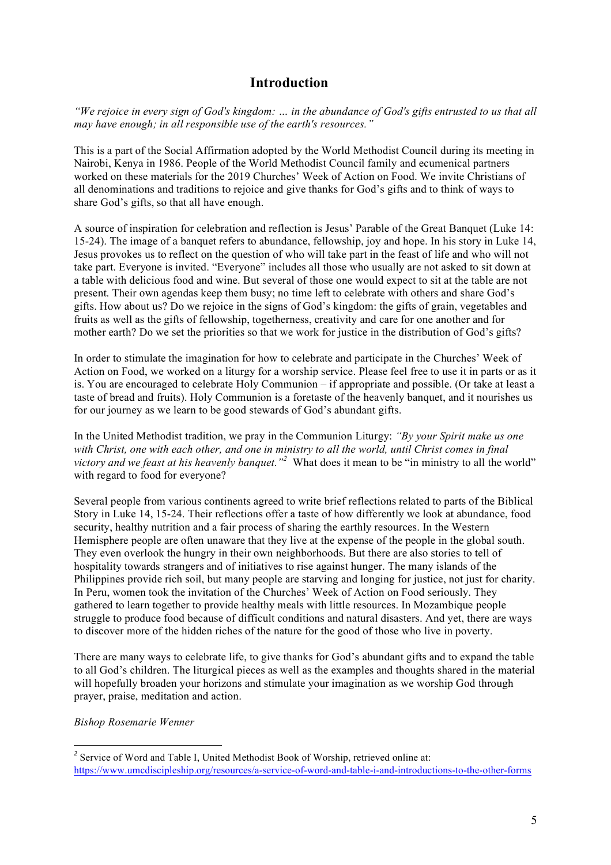# **Introduction**

"We rejoice in every sign of God's kingdom: ... in the abundance of God's gifts entrusted to us that all *may have enough; in all responsible use of the earth's resources."* 

This is a part of the Social Affirmation adopted by the World Methodist Council during its meeting in Nairobi, Kenya in 1986. People of the World Methodist Council family and ecumenical partners worked on these materials for the 2019 Churches' Week of Action on Food. We invite Christians of all denominations and traditions to rejoice and give thanks for God's gifts and to think of ways to share God's gifts, so that all have enough.

A source of inspiration for celebration and reflection is Jesus' Parable of the Great Banquet (Luke 14: 15-24). The image of a banquet refers to abundance, fellowship, joy and hope. In his story in Luke 14, Jesus provokes us to reflect on the question of who will take part in the feast of life and who will not take part. Everyone is invited. "Everyone" includes all those who usually are not asked to sit down at a table with delicious food and wine. But several of those one would expect to sit at the table are not present. Their own agendas keep them busy; no time left to celebrate with others and share God's gifts. How about us? Do we rejoice in the signs of God's kingdom: the gifts of grain, vegetables and fruits as well as the gifts of fellowship, togetherness, creativity and care for one another and for mother earth? Do we set the priorities so that we work for justice in the distribution of God's gifts?

In order to stimulate the imagination for how to celebrate and participate in the Churches' Week of Action on Food, we worked on a liturgy for a worship service. Please feel free to use it in parts or as it is. You are encouraged to celebrate Holy Communion – if appropriate and possible. (Or take at least a taste of bread and fruits). Holy Communion is a foretaste of the heavenly banquet, and it nourishes us for our journey as we learn to be good stewards of God's abundant gifts.

In the United Methodist tradition, we pray in the Communion Liturgy: *"By your Spirit make us one* with Christ, one with each other, and one in ministry to all the world, until Christ comes in final *victory and we feast at his heavenly banquet."<sup>2</sup>* What does it mean to be "in ministry to all the world" with regard to food for everyone?

Several people from various continents agreed to write brief reflections related to parts of the Biblical Story in Luke 14, 15-24. Their reflections offer a taste of how differently we look at abundance, food security, healthy nutrition and a fair process of sharing the earthly resources. In the Western Hemisphere people are often unaware that they live at the expense of the people in the global south. They even overlook the hungry in their own neighborhoods. But there are also stories to tell of hospitality towards strangers and of initiatives to rise against hunger. The many islands of the Philippines provide rich soil, but many people are starving and longing for justice, not just for charity. In Peru, women took the invitation of the Churches' Week of Action on Food seriously. They gathered to learn together to provide healthy meals with little resources. In Mozambique people struggle to produce food because of difficult conditions and natural disasters. And yet, there are ways to discover more of the hidden riches of the nature for the good of those who live in poverty.

There are many ways to celebrate life, to give thanks for God's abundant gifts and to expand the table to all God's children. The liturgical pieces as well as the examples and thoughts shared in the material will hopefully broaden your horizons and stimulate your imagination as we worship God through prayer, praise, meditation and action.

#### *Bishop Rosemarie Wenner*

<sup>&</sup>lt;sup>2</sup> Service of Word and Table I, United Methodist Book of Worship, retrieved online at: https://www.umcdiscipleship.org/resources/a-service-of-word-and-table-i-and-introductions-to-the-other-forms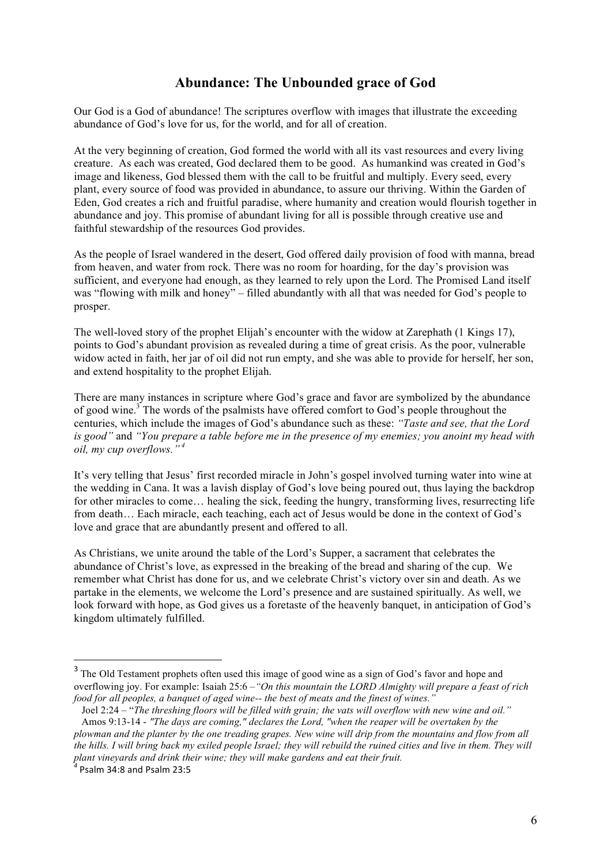## **Abundance: The Unbounded grace of God**

Our God is a God of abundance! The scriptures overflow with images that illustrate the exceeding abundance of God's love for us, for the world, and for all of creation.

At the very beginning of creation, God formed the world with all its vast resources and every living creature. As each was created, God declared them to be good. As humankind was created in God's image and likeness, God blessed them with the call to be fruitful and multiply. Every seed, every plant, every source of food was provided in abundance, to assure our thriving. Within the Garden of Eden, God creates a rich and fruitful paradise, where humanity and creation would flourish together in abundance and joy. This promise of abundant living for all is possible through creative use and faithful stewardship of the resources God provides.

As the people of Israel wandered in the desert, God offered daily provision of food with manna, bread from heaven, and water from rock. There was no room for hoarding, for the day's provision was sufficient, and everyone had enough, as they learned to rely upon the Lord. The Promised Land itself was "flowing with milk and honey" – filled abundantly with all that was needed for God's people to prosper.

The well-loved story of the prophet Elijah's encounter with the widow at Zarephath (1 Kings 17), points to God's abundant provision as revealed during a time of great crisis. As the poor, vulnerable widow acted in faith, her jar of oil did not run empty, and she was able to provide for herself, her son, and extend hospitality to the prophet Elijah.

There are many instances in scripture where God's grace and favor are symbolized by the abundance of good wine.<sup>3</sup> The words of the psalmists have offered comfort to God's people throughout the centuries, which include the images of God's abundance such as these: *"Taste and see, that the Lord* is good" and "You prepare a table before me in the presence of my enemies; you anoint my head with *oil, my cup overflows." <sup>4</sup>*

It's very telling that Jesus' first recorded miracle in John's gospel involved turning water into wine at the wedding in Cana. It was a lavish display of God's love being poured out, thus laying the backdrop for other miracles to come… healing the sick, feeding the hungry, transforming lives, resurrecting life from death… Each miracle, each teaching, each act of Jesus would be done in the context of God's love and grace that are abundantly present and offered to all.

As Christians, we unite around the table of the Lord's Supper, a sacrament that celebrates the abundance of Christ's love, as expressed in the breaking of the bread and sharing of the cup. We remember what Christ has done for us, and we celebrate Christ's victory over sin and death. As we partake in the elements, we welcome the Lord's presence and are sustained spiritually. As well, we look forward with hope, as God gives us a foretaste of the heavenly banquet, in anticipation of God's kingdom ultimately fulfilled.

 $\overline{a}$ 

 $3$  The Old Testament prophets often used this image of good wine as a sign of God's favor and hope and overflowing joy. For example: Isaiah 25:6 –*"On this mountain the LORD Almighty will prepare a feast of rich food for all peoples, a banquet of aged wine-- the best of meats and the finest of wines."*

Joel 2:24 – "The threshing floors will be filled with grain; the vats will overflow with new wine and oil." Amos 9:13-14 - *"The days are coming," declares the Lord, "when the reaper will be overtaken by the* plowman and the planter by the one treading grapes. New wine will drip from the mountains and flow from all the hills. I will bring back my exiled people Israel; they will rebuild the ruined cities and live in them. They will *plant vineyards and drink their wine; they will make gardens and eat their fruit. <sup>4</sup>* Psalm 34:8 and Psalm 23:5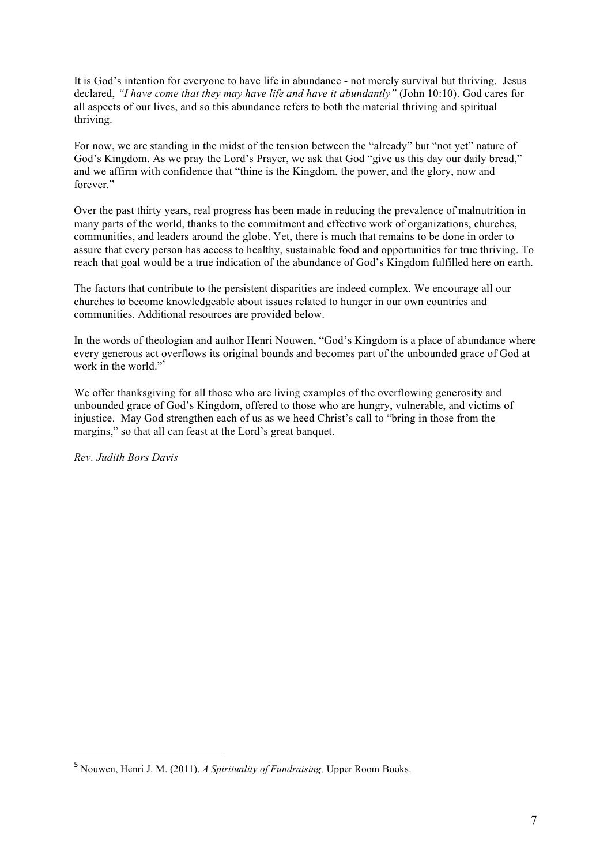It is God's intention for everyone to have life in abundance - not merely survival but thriving. Jesus declared, *"I have come that they may have life and have it abundantly"* (John 10:10). God cares for all aspects of our lives, and so this abundance refers to both the material thriving and spiritual thriving.

For now, we are standing in the midst of the tension between the "already" but "not yet" nature of God's Kingdom. As we pray the Lord's Prayer, we ask that God "give us this day our daily bread," and we affirm with confidence that "thine is the Kingdom, the power, and the glory, now and forever."

Over the past thirty years, real progress has been made in reducing the prevalence of malnutrition in many parts of the world, thanks to the commitment and effective work of organizations, churches, communities, and leaders around the globe. Yet, there is much that remains to be done in order to assure that every person has access to healthy, sustainable food and opportunities for true thriving. To reach that goal would be a true indication of the abundance of God's Kingdom fulfilled here on earth.

The factors that contribute to the persistent disparities are indeed complex. We encourage all our churches to become knowledgeable about issues related to hunger in our own countries and communities. Additional resources are provided below.

In the words of theologian and author Henri Nouwen, "God's Kingdom is a place of abundance where every generous act overflows its original bounds and becomes part of the unbounded grace of God at work in the world."<sup>5</sup>

We offer thanksgiving for all those who are living examples of the overflowing generosity and unbounded grace of God's Kingdom, offered to those who are hungry, vulnerable, and victims of injustice. May God strengthen each of us as we heed Christ's call to "bring in those from the margins," so that all can feast at the Lord's great banquet.

*Rev. Judith Bors Davis*

 $\overline{a}$ 

<sup>5</sup> Nouwen, Henri J. M. (2011). *A Spirituality of Fundraising,* Upper Room Books.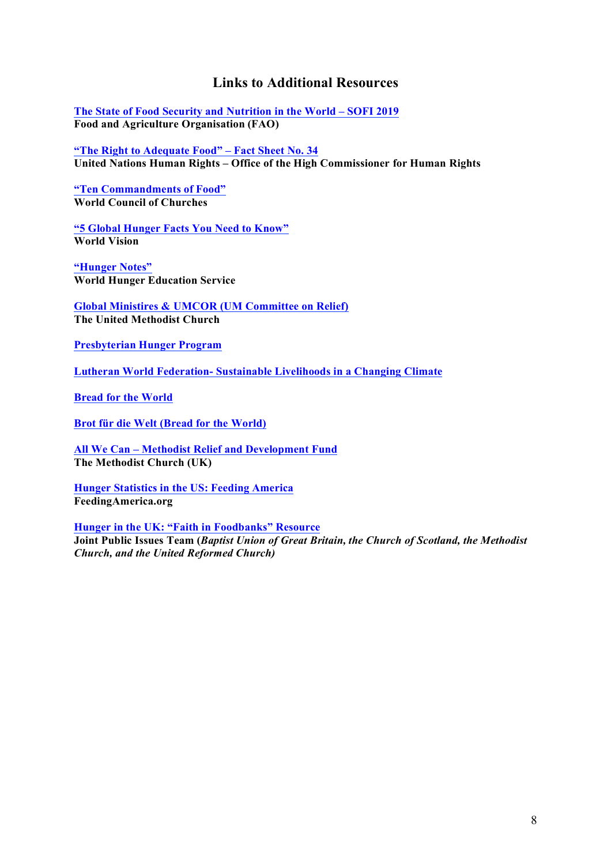## **Links to Additional Resources**

**The State of Food Security and Nutrition in the World – SOFI 2019 Food and Agriculture Organisation (FAO)**

**"The Right to Adequate Food" – Fact Sheet No. 34 United Nations Human Rights – Office of the High Commissioner for Human Rights**

**"Ten Commandments of Food" World Council of Churches**

**"5 Global Hunger Facts You Need to Know" World Vision**

**"Hunger Notes" World Hunger Education Service**

**Global Ministires & UMCOR (UM Committee on Relief) The United Methodist Church**

**Presbyterian Hunger Program**

**Lutheran World Federation- Sustainable Livelihoods in a Changing Climate**

**Bread for the World**

**Brot für die Welt (Bread for the World)**

**All We Can – Methodist Relief and Development Fund The Methodist Church (UK)**

**Hunger Statistics in the US: Feeding America FeedingAmerica.org**

**Hunger in the UK: "Faith in Foodbanks" Resource Joint Public Issues Team (***Baptist Union of Great Britain, the Church of Scotland, the Methodist Church, and the United Reformed Church)*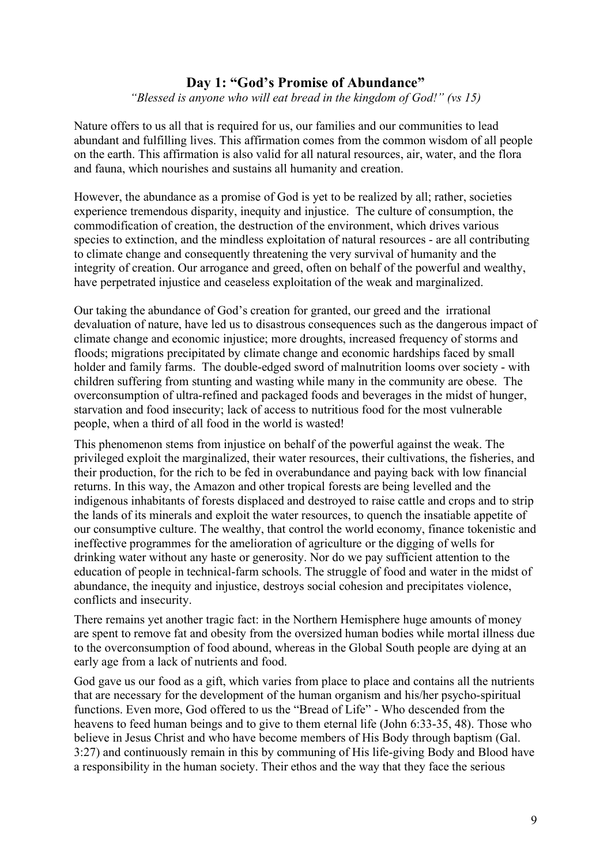## **Day 1: "God's Promise of Abundance"**

*"Blessed is anyone who will eat bread in the kingdom of God!" (vs 15)*

Nature offers to us all that is required for us, our families and our communities to lead abundant and fulfilling lives. This affirmation comes from the common wisdom of all people on the earth. This affirmation is also valid for all natural resources, air, water, and the flora and fauna, which nourishes and sustains all humanity and creation.

However, the abundance as a promise of God is yet to be realized by all; rather, societies experience tremendous disparity, inequity and injustice. The culture of consumption, the commodification of creation, the destruction of the environment, which drives various species to extinction, and the mindless exploitation of natural resources - are all contributing to climate change and consequently threatening the very survival of humanity and the integrity of creation. Our arrogance and greed, often on behalf of the powerful and wealthy, have perpetrated injustice and ceaseless exploitation of the weak and marginalized.

Our taking the abundance of God's creation for granted, our greed and the irrational devaluation of nature, have led us to disastrous consequences such as the dangerous impact of climate change and economic injustice; more droughts, increased frequency of storms and floods; migrations precipitated by climate change and economic hardships faced by small holder and family farms. The double-edged sword of malnutrition looms over society - with children suffering from stunting and wasting while many in the community are obese. The overconsumption of ultra-refined and packaged foods and beverages in the midst of hunger, starvation and food insecurity; lack of access to nutritious food for the most vulnerable people, when a third of all food in the world is wasted!

This phenomenon stems from injustice on behalf of the powerful against the weak. The privileged exploit the marginalized, their water resources, their cultivations, the fisheries, and their production, for the rich to be fed in overabundance and paying back with low financial returns. In this way, the Amazon and other tropical forests are being levelled and the indigenous inhabitants of forests displaced and destroyed to raise cattle and crops and to strip the lands of its minerals and exploit the water resources, to quench the insatiable appetite of our consumptive culture. The wealthy, that control the world economy, finance tokenistic and ineffective programmes for the amelioration of agriculture or the digging of wells for drinking water without any haste or generosity. Nor do we pay sufficient attention to the education of people in technical-farm schools. The struggle of food and water in the midst of abundance, the inequity and injustice, destroys social cohesion and precipitates violence, conflicts and insecurity.

There remains yet another tragic fact: in the Northern Hemisphere huge amounts of money are spent to remove fat and obesity from the oversized human bodies while mortal illness due to the overconsumption of food abound, whereas in the Global South people are dying at an early age from a lack of nutrients and food.

God gave us our food as a gift, which varies from place to place and contains all the nutrients that are necessary for the development of the human organism and his/her psycho-spiritual functions. Even more, God offered to us the "Bread of Life" - Who descended from the heavens to feed human beings and to give to them eternal life (John 6:33-35, 48). Those who believe in Jesus Christ and who have become members of His Body through baptism (Gal. 3:27) and continuously remain in this by communing of His life-giving Body and Blood have a responsibility in the human society. Their ethos and the way that they face the serious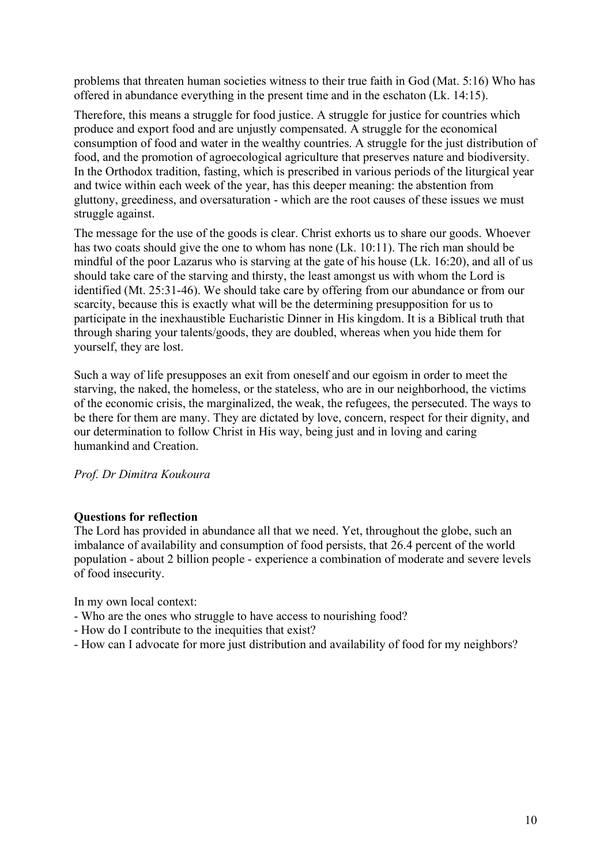problems that threaten human societies witness to their true faith in God (Mat. 5:16) Who has offered in abundance everything in the present time and in the eschaton (Lk. 14:15).

Therefore, this means a struggle for food justice. A struggle for justice for countries which produce and export food and are unjustly compensated. A struggle for the economical consumption of food and water in the wealthy countries. A struggle for the just distribution of food, and the promotion of agroecological agriculture that preserves nature and biodiversity. In the Orthodox tradition, fasting, which is prescribed in various periods of the liturgical year and twice within each week of the year, has this deeper meaning: the abstention from gluttony, greediness, and oversaturation - which are the root causes of these issues we must struggle against.

The message for the use of the goods is clear. Christ exhorts us to share our goods. Whoever has two coats should give the one to whom has none (Lk. 10:11). The rich man should be mindful of the poor Lazarus who is starving at the gate of his house (Lk. 16:20), and all of us should take care of the starving and thirsty, the least amongst us with whom the Lord is identified (Mt. 25:31-46). We should take care by offering from our abundance or from our scarcity, because this is exactly what will be the determining presupposition for us to participate in the inexhaustible Eucharistic Dinner in His kingdom. It is a Biblical truth that through sharing your talents/goods, they are doubled, whereas when you hide them for yourself, they are lost.

Such a way of life presupposes an exit from oneself and our egoism in order to meet the starving, the naked, the homeless, or the stateless, who are in our neighborhood, the victims of the economic crisis, the marginalized, the weak, the refugees, the persecuted. The ways to be there for them are many. They are dictated by love, concern, respect for their dignity, and our determination to follow Christ in His way, being just and in loving and caring humankind and Creation.

*Prof. Dr Dimitra Koukoura*

## **Questions for reflection**

The Lord has provided in abundance all that we need. Yet, throughout the globe, such an imbalance of availability and consumption of food persists, that 26.4 percent of the world population - about 2 billion people - experience a combination of moderate and severe levels of food insecurity.

In my own local context:

- Who are the ones who struggle to have access to nourishing food?
- How do I contribute to the inequities that exist?
- How can I advocate for more just distribution and availability of food for my neighbors?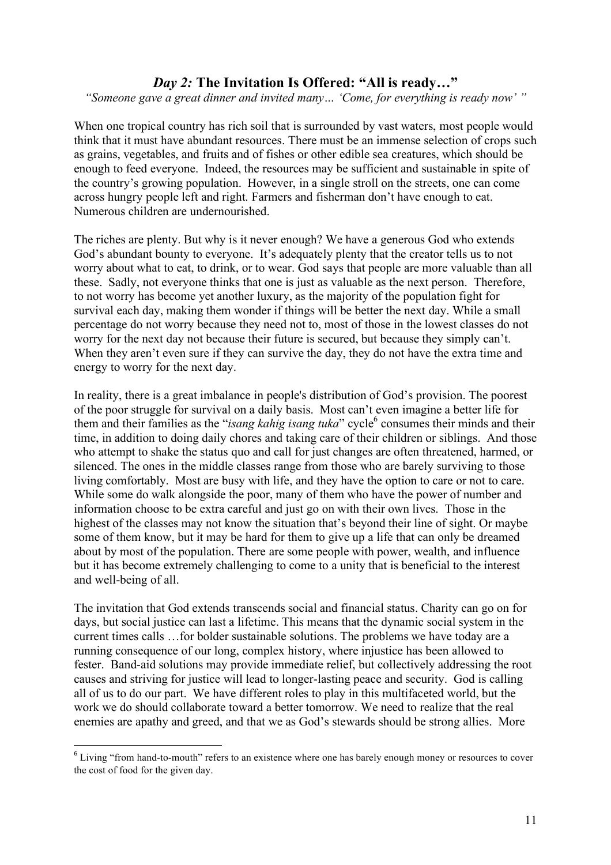## *Day 2:* **The Invitation Is Offered: "All is ready…"**

*"Someone gave a great dinner and invited many… 'Come, for everything is ready now' "*

When one tropical country has rich soil that is surrounded by vast waters, most people would think that it must have abundant resources. There must be an immense selection of crops such as grains, vegetables, and fruits and of fishes or other edible sea creatures, which should be enough to feed everyone. Indeed, the resources may be sufficient and sustainable in spite of the country's growing population. However, in a single stroll on the streets, one can come across hungry people left and right. Farmers and fisherman don't have enough to eat. Numerous children are undernourished.

The riches are plenty. But why is it never enough? We have a generous God who extends God's abundant bounty to everyone. It's adequately plenty that the creator tells us to not worry about what to eat, to drink, or to wear. God says that people are more valuable than all these. Sadly, not everyone thinks that one is just as valuable as the next person. Therefore, to not worry has become yet another luxury, as the majority of the population fight for survival each day, making them wonder if things will be better the next day. While a small percentage do not worry because they need not to, most of those in the lowest classes do not worry for the next day not because their future is secured, but because they simply can't. When they aren't even sure if they can survive the day, they do not have the extra time and energy to worry for the next day.

In reality, there is a great imbalance in people's distribution of God's provision. The poorest of the poor struggle for survival on a daily basis. Most can't even imagine a better life for them and their families as the "*isang kahig isang tuka*" cycle<sup>6</sup> consumes their minds and their time, in addition to doing daily chores and taking care of their children or siblings. And those who attempt to shake the status quo and call for just changes are often threatened, harmed, or silenced. The ones in the middle classes range from those who are barely surviving to those living comfortably. Most are busy with life, and they have the option to care or not to care. While some do walk alongside the poor, many of them who have the power of number and information choose to be extra careful and just go on with their own lives. Those in the highest of the classes may not know the situation that's beyond their line of sight. Or maybe some of them know, but it may be hard for them to give up a life that can only be dreamed about by most of the population. There are some people with power, wealth, and influence but it has become extremely challenging to come to a unity that is beneficial to the interest and well-being of all.

The invitation that God extends transcends social and financial status. Charity can go on for days, but social justice can last a lifetime. This means that the dynamic social system in the current times calls …for bolder sustainable solutions. The problems we have today are a running consequence of our long, complex history, where injustice has been allowed to fester. Band-aid solutions may provide immediate relief, but collectively addressing the root causes and striving for justice will lead to longer-lasting peace and security. God is calling all of us to do our part. We have different roles to play in this multifaceted world, but the work we do should collaborate toward a better tomorrow. We need to realize that the real enemies are apathy and greed, and that we as God's stewards should be strong allies. More

<sup>&</sup>lt;sup>6</sup> Living "from hand-to-mouth" refers to an existence where one has barely enough money or resources to cover the cost of food for the given day.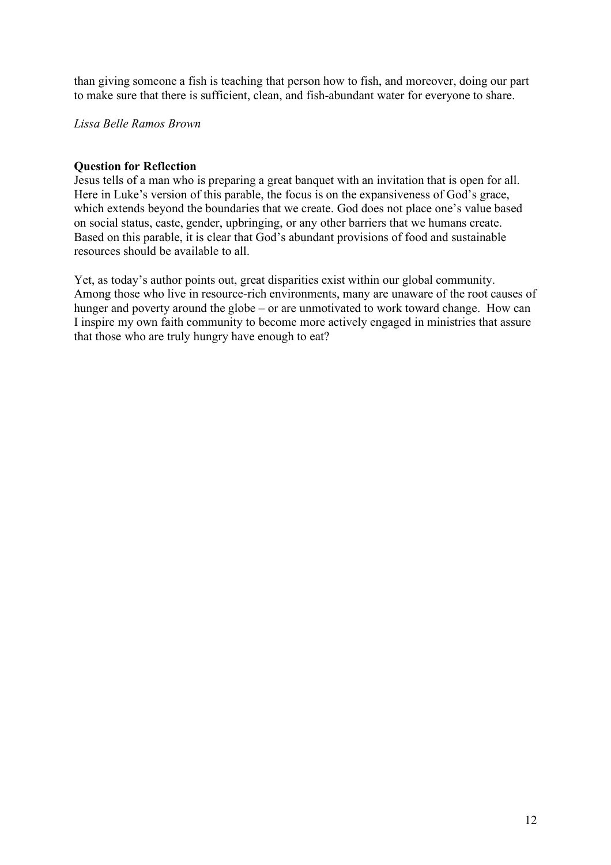than giving someone a fish is teaching that person how to fish, and moreover, doing our part to make sure that there is sufficient, clean, and fish-abundant water for everyone to share.

*Lissa Belle Ramos Brown*

### **Question for Reflection**

Jesus tells of a man who is preparing a great banquet with an invitation that is open for all. Here in Luke's version of this parable, the focus is on the expansiveness of God's grace, which extends beyond the boundaries that we create. God does not place one's value based on social status, caste, gender, upbringing, or any other barriers that we humans create. Based on this parable, it is clear that God's abundant provisions of food and sustainable resources should be available to all.

Yet, as today's author points out, great disparities exist within our global community. Among those who live in resource-rich environments, many are unaware of the root causes of hunger and poverty around the globe – or are unmotivated to work toward change. How can I inspire my own faith community to become more actively engaged in ministries that assure that those who are truly hungry have enough to eat?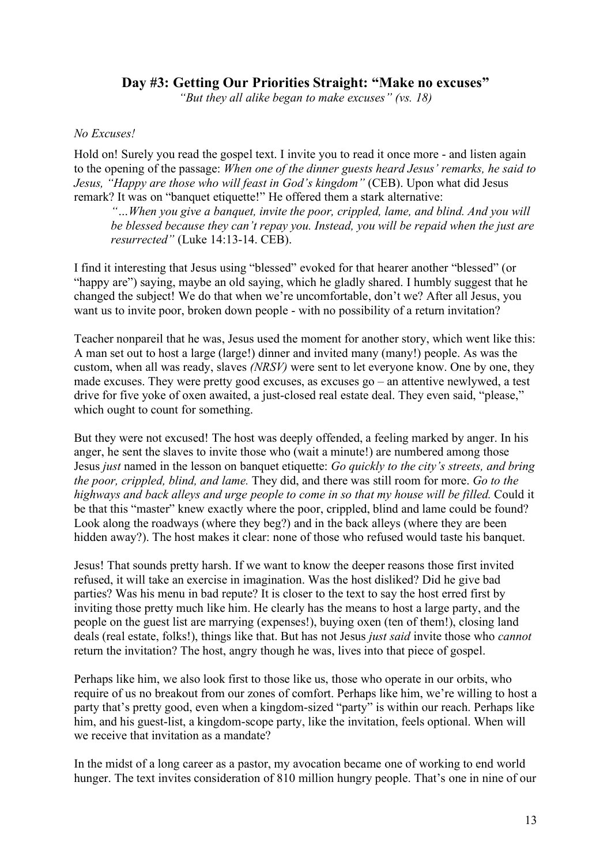## **Day #3: Getting Our Priorities Straight: "Make no excuses"**

*"But they all alike began to make excuses" (vs. 18)*

## *No Excuses!*

Hold on! Surely you read the gospel text. I invite you to read it once more - and listen again to the opening of the passage: *When one of the dinner guests heard Jesus' remarks, he said to Jesus, "Happy are those who will feast in God's kingdom"* (CEB). Upon what did Jesus remark? It was on "banquet etiquette!" He offered them a stark alternative:

*"…When you give a banquet, invite the poor, crippled, lame, and blind. And you will be blessed because they can't repay you. Instead, you will be repaid when the just are resurrected"* (Luke 14:13-14. CEB).

I find it interesting that Jesus using "blessed" evoked for that hearer another "blessed" (or "happy are") saying, maybe an old saying, which he gladly shared. I humbly suggest that he changed the subject! We do that when we're uncomfortable, don't we? After all Jesus, you want us to invite poor, broken down people - with no possibility of a return invitation?

Teacher nonpareil that he was, Jesus used the moment for another story, which went like this: A man set out to host a large (large!) dinner and invited many (many!) people. As was the custom, when all was ready, slaves *(NRSV)* were sent to let everyone know. One by one, they made excuses. They were pretty good excuses, as excuses go – an attentive newlywed, a test drive for five yoke of oxen awaited, a just-closed real estate deal. They even said, "please," which ought to count for something.

But they were not excused! The host was deeply offended, a feeling marked by anger. In his anger, he sent the slaves to invite those who (wait a minute!) are numbered among those Jesus *just* named in the lesson on banquet etiquette: *Go quickly to the city's streets, and bring the poor, crippled, blind, and lame.* They did, and there was still room for more. *Go to the highways and back alleys and urge people to come in so that my house will be filled.* Could it be that this "master" knew exactly where the poor, crippled, blind and lame could be found? Look along the roadways (where they beg?) and in the back alleys (where they are been hidden away?). The host makes it clear: none of those who refused would taste his banquet.

Jesus! That sounds pretty harsh. If we want to know the deeper reasons those first invited refused, it will take an exercise in imagination. Was the host disliked? Did he give bad parties? Was his menu in bad repute? It is closer to the text to say the host erred first by inviting those pretty much like him. He clearly has the means to host a large party, and the people on the guest list are marrying (expenses!), buying oxen (ten of them!), closing land deals (real estate, folks!), things like that. But has not Jesus *just said* invite those who *cannot* return the invitation? The host, angry though he was, lives into that piece of gospel.

Perhaps like him, we also look first to those like us, those who operate in our orbits, who require of us no breakout from our zones of comfort. Perhaps like him, we're willing to host a party that's pretty good, even when a kingdom-sized "party" is within our reach. Perhaps like him, and his guest-list, a kingdom-scope party, like the invitation, feels optional. When will we receive that invitation as a mandate?

In the midst of a long career as a pastor, my avocation became one of working to end world hunger. The text invites consideration of 810 million hungry people. That's one in nine of our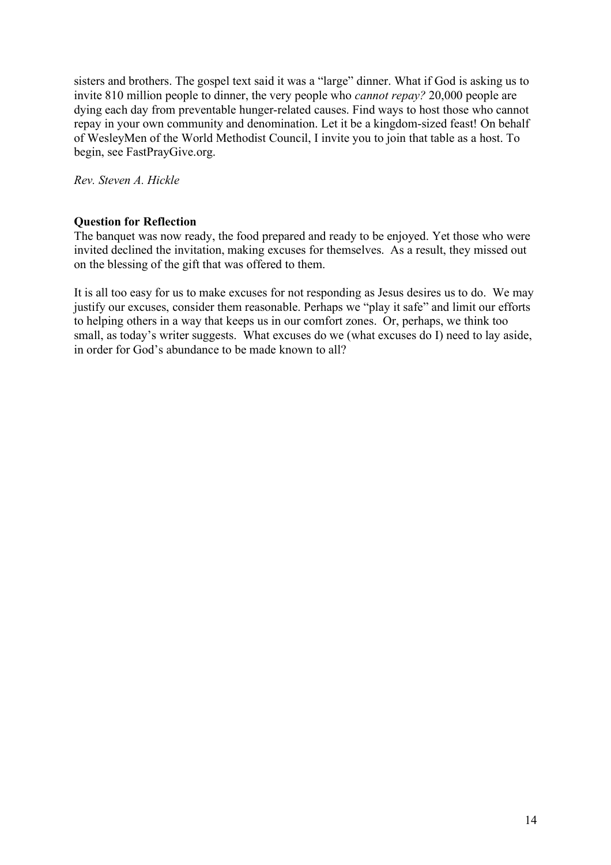sisters and brothers. The gospel text said it was a "large" dinner. What if God is asking us to invite 810 million people to dinner, the very people who *cannot repay?* 20,000 people are dying each day from preventable hunger-related causes. Find ways to host those who cannot repay in your own community and denomination. Let it be a kingdom-sized feast! On behalf of WesleyMen of the World Methodist Council, I invite you to join that table as a host. To begin, see FastPrayGive.org.

*Rev. Steven A. Hickle*

## **Question for Reflection**

The banquet was now ready, the food prepared and ready to be enjoyed. Yet those who were invited declined the invitation, making excuses for themselves. As a result, they missed out on the blessing of the gift that was offered to them.

It is all too easy for us to make excuses for not responding as Jesus desires us to do. We may justify our excuses, consider them reasonable. Perhaps we "play it safe" and limit our efforts to helping others in a way that keeps us in our comfort zones. Or, perhaps, we think too small, as today's writer suggests. What excuses do we (what excuses do I) need to lay aside, in order for God's abundance to be made known to all?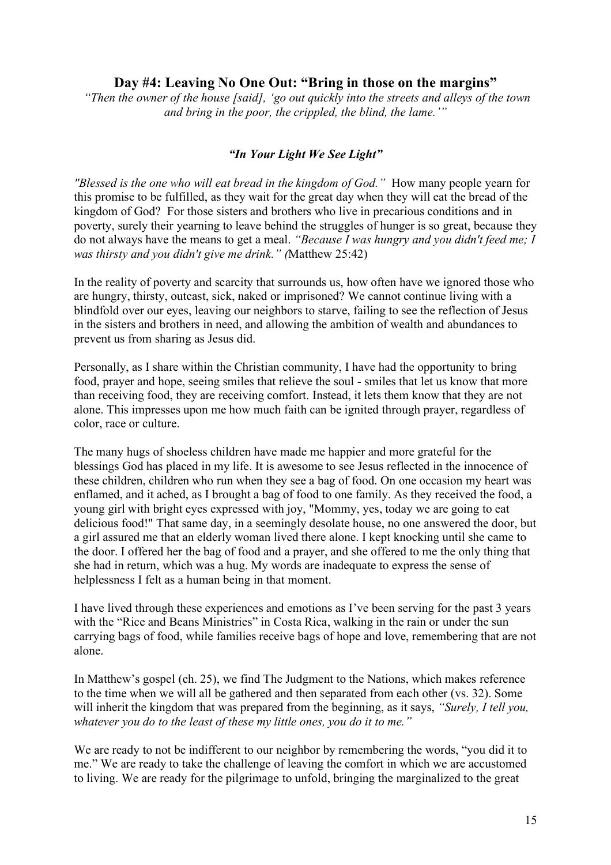## **Day #4: Leaving No One Out: "Bring in those on the margins"**

*"Then the owner of the house [said], 'go out quickly into the streets and alleys of the town and bring in the poor, the crippled, the blind, the lame.'"*

## *"In Your Light We See Light"*

*"Blessed is the one who will eat bread in the kingdom of God."* How many people yearn for this promise to be fulfilled, as they wait for the great day when they will eat the bread of the kingdom of God? For those sisters and brothers who live in precarious conditions and in poverty, surely their yearning to leave behind the struggles of hunger is so great, because they do not always have the means to get a meal. *"Because I was hungry and you didn't feed me; I was thirsty and you didn't give me drink." (*Matthew 25:42)

In the reality of poverty and scarcity that surrounds us, how often have we ignored those who are hungry, thirsty, outcast, sick, naked or imprisoned? We cannot continue living with a blindfold over our eyes, leaving our neighbors to starve, failing to see the reflection of Jesus in the sisters and brothers in need, and allowing the ambition of wealth and abundances to prevent us from sharing as Jesus did.

Personally, as I share within the Christian community, I have had the opportunity to bring food, prayer and hope, seeing smiles that relieve the soul - smiles that let us know that more than receiving food, they are receiving comfort. Instead, it lets them know that they are not alone. This impresses upon me how much faith can be ignited through prayer, regardless of color, race or culture.

The many hugs of shoeless children have made me happier and more grateful for the blessings God has placed in my life. It is awesome to see Jesus reflected in the innocence of these children, children who run when they see a bag of food. On one occasion my heart was enflamed, and it ached, as I brought a bag of food to one family. As they received the food, a young girl with bright eyes expressed with joy, "Mommy, yes, today we are going to eat delicious food!" That same day, in a seemingly desolate house, no one answered the door, but a girl assured me that an elderly woman lived there alone. I kept knocking until she came to the door. I offered her the bag of food and a prayer, and she offered to me the only thing that she had in return, which was a hug. My words are inadequate to express the sense of helplessness I felt as a human being in that moment.

I have lived through these experiences and emotions as I've been serving for the past 3 years with the "Rice and Beans Ministries" in Costa Rica, walking in the rain or under the sun carrying bags of food, while families receive bags of hope and love, remembering that are not alone.

In Matthew's gospel (ch. 25), we find The Judgment to the Nations, which makes reference to the time when we will all be gathered and then separated from each other (vs. 32). Some will inherit the kingdom that was prepared from the beginning, as it says, *"Surely, I tell you, whatever you do to the least of these my little ones, you do it to me."*

We are ready to not be indifferent to our neighbor by remembering the words, "you did it to me." We are ready to take the challenge of leaving the comfort in which we are accustomed to living. We are ready for the pilgrimage to unfold, bringing the marginalized to the great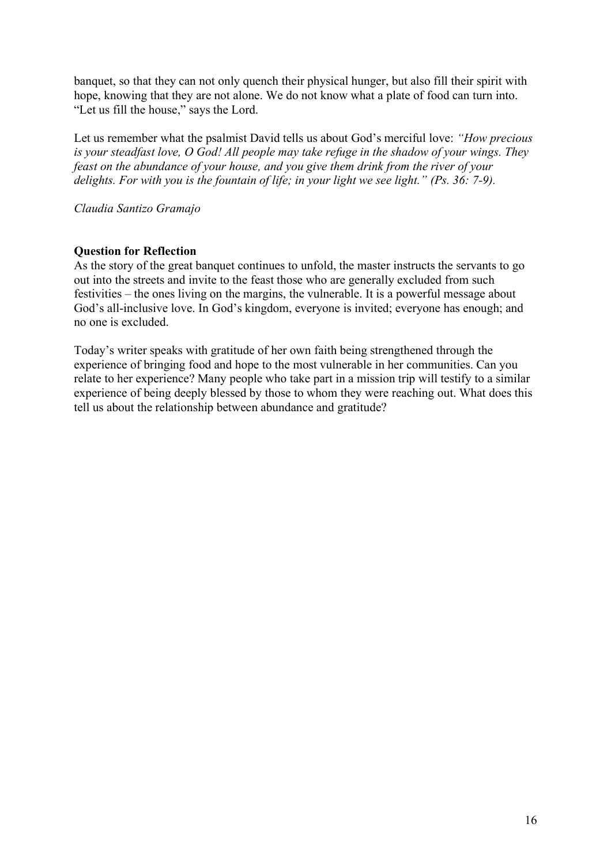banquet, so that they can not only quench their physical hunger, but also fill their spirit with hope, knowing that they are not alone. We do not know what a plate of food can turn into. "Let us fill the house," says the Lord.

Let us remember what the psalmist David tells us about God's merciful love: *"How precious is your steadfast love, O God! All people may take refuge in the shadow of your wings. They feast on the abundance of your house, and you give them drink from the river of your delights. For with you is the fountain of life; in your light we see light." (Ps. 36: 7-9).*

*Claudia Santizo Gramajo*

## **Question for Reflection**

As the story of the great banquet continues to unfold, the master instructs the servants to go out into the streets and invite to the feast those who are generally excluded from such festivities – the ones living on the margins, the vulnerable. It is a powerful message about God's all-inclusive love. In God's kingdom, everyone is invited; everyone has enough; and no one is excluded.

Today's writer speaks with gratitude of her own faith being strengthened through the experience of bringing food and hope to the most vulnerable in her communities. Can you relate to her experience? Many people who take part in a mission trip will testify to a similar experience of being deeply blessed by those to whom they were reaching out. What does this tell us about the relationship between abundance and gratitude?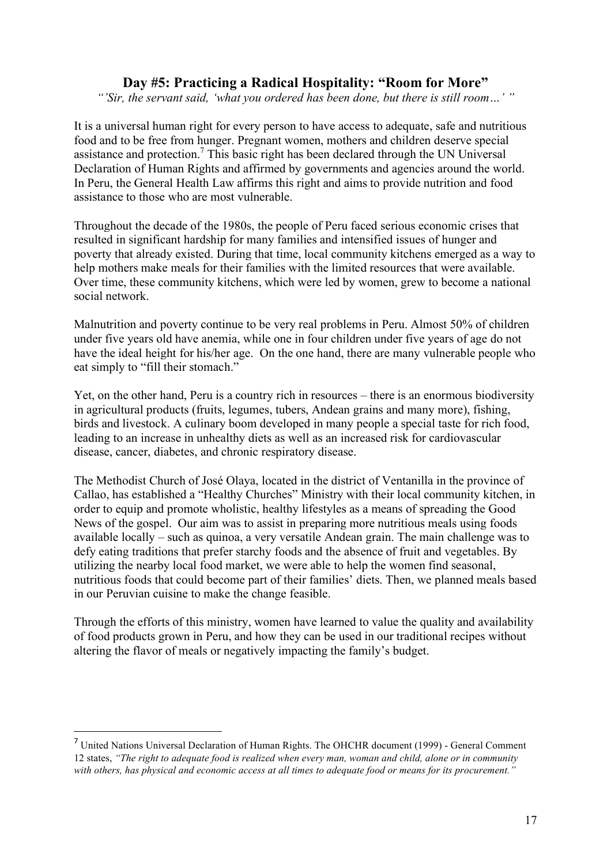## **Day #5: Practicing a Radical Hospitality: "Room for More"**

*"'Sir, the servant said, 'what you ordered has been done, but there is still room…' "*

It is a universal human right for every person to have access to adequate, safe and nutritious food and to be free from hunger. Pregnant women, mothers and children deserve special assistance and protection.<sup>7</sup> This basic right has been declared through the UN Universal Declaration of Human Rights and affirmed by governments and agencies around the world. In Peru, the General Health Law affirms this right and aims to provide nutrition and food assistance to those who are most vulnerable.

Throughout the decade of the 1980s, the people of Peru faced serious economic crises that resulted in significant hardship for many families and intensified issues of hunger and poverty that already existed. During that time, local community kitchens emerged as a way to help mothers make meals for their families with the limited resources that were available. Over time, these community kitchens, which were led by women, grew to become a national social network.

Malnutrition and poverty continue to be very real problems in Peru. Almost 50% of children under five years old have anemia, while one in four children under five years of age do not have the ideal height for his/her age. On the one hand, there are many vulnerable people who eat simply to "fill their stomach."

Yet, on the other hand, Peru is a country rich in resources – there is an enormous biodiversity in agricultural products (fruits, legumes, tubers, Andean grains and many more), fishing, birds and livestock. A culinary boom developed in many people a special taste for rich food, leading to an increase in unhealthy diets as well as an increased risk for cardiovascular disease, cancer, diabetes, and chronic respiratory disease.

The Methodist Church of José Olaya, located in the district of Ventanilla in the province of Callao, has established a "Healthy Churches" Ministry with their local community kitchen, in order to equip and promote wholistic, healthy lifestyles as a means of spreading the Good News of the gospel. Our aim was to assist in preparing more nutritious meals using foods available locally – such as quinoa, a very versatile Andean grain. The main challenge was to defy eating traditions that prefer starchy foods and the absence of fruit and vegetables. By utilizing the nearby local food market, we were able to help the women find seasonal, nutritious foods that could become part of their families' diets. Then, we planned meals based in our Peruvian cuisine to make the change feasible.

Through the efforts of this ministry, women have learned to value the quality and availability of food products grown in Peru, and how they can be used in our traditional recipes without altering the flavor of meals or negatively impacting the family's budget.

 $\overline{a}$ 

<sup>7</sup> United Nations Universal Declaration of Human Rights. The OHCHR document (1999) - General Comment 12 states, *"The right to adequate food is realized when every man, woman and child, alone or in community* with others, has physical and economic access at all times to adequate food or means for its procurement."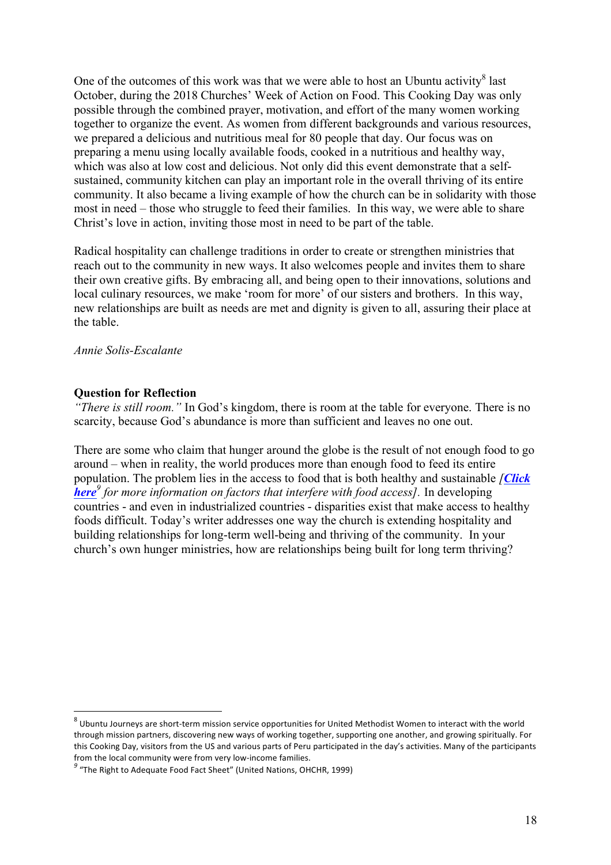One of the outcomes of this work was that we were able to host an Ubuntu activity $8$  last October, during the 2018 Churches' Week of Action on Food. This Cooking Day was only possible through the combined prayer, motivation, and effort of the many women working together to organize the event. As women from different backgrounds and various resources, we prepared a delicious and nutritious meal for 80 people that day. Our focus was on preparing a menu using locally available foods, cooked in a nutritious and healthy way, which was also at low cost and delicious. Not only did this event demonstrate that a selfsustained, community kitchen can play an important role in the overall thriving of its entire community. It also became a living example of how the church can be in solidarity with those most in need – those who struggle to feed their families. In this way, we were able to share Christ's love in action, inviting those most in need to be part of the table.

Radical hospitality can challenge traditions in order to create or strengthen ministries that reach out to the community in new ways. It also welcomes people and invites them to share their own creative gifts. By embracing all, and being open to their innovations, solutions and local culinary resources, we make 'room for more' of our sisters and brothers. In this way, new relationships are built as needs are met and dignity is given to all, assuring their place at the table.

*Annie Solis-Escalante*

#### **Question for Reflection**

*"There is still room."* In God's kingdom, there is room at the table for everyone. There is no scarcity, because God's abundance is more than sufficient and leaves no one out.

There are some who claim that hunger around the globe is the result of not enough food to go around – when in reality, the world produces more than enough food to feed its entire population. The problem lies in the access to food that is both healthy and sustainable *[Click here<sup>9</sup> for more information on factors that interfere with food access].* In developing countries - and even in industrialized countries - disparities exist that make access to healthy foods difficult. Today's writer addresses one way the church is extending hospitality and building relationships for long-term well-being and thriving of the community. In your church's own hunger ministries, how are relationships being built for long term thriving?

 $8$  Ubuntu Journeys are short-term mission service opportunities for United Methodist Women to interact with the world through mission partners, discovering new ways of working together, supporting one another, and growing spiritually. For this Cooking Day, visitors from the US and various parts of Peru participated in the day's activities. Many of the participants from the local community were from very low-income families. *<sup>9</sup>* "The Right to Adequate Food Fact Sheet" (United Nations, OHCHR, 1999)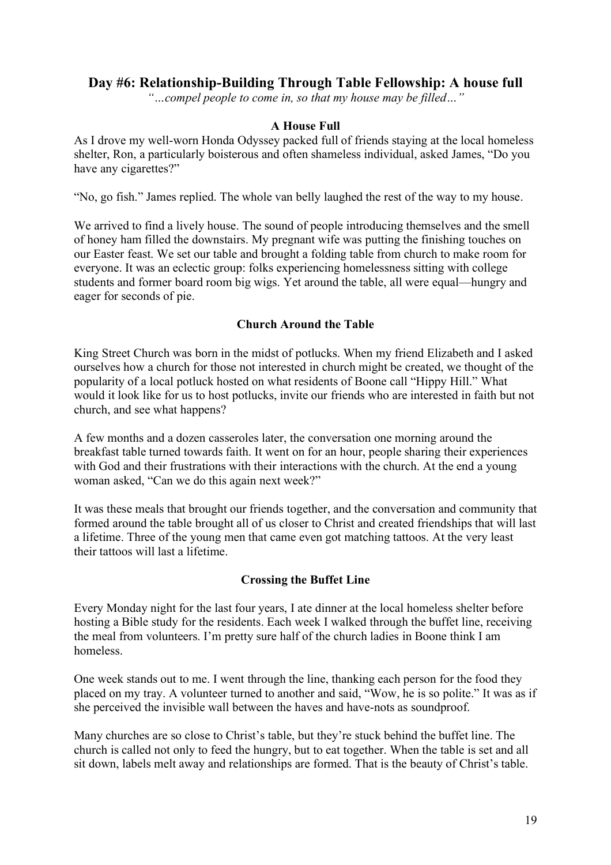## **Day #6: Relationship-Building Through Table Fellowship: A house full**

*"…compel people to come in, so that my house may be filled…"*

## **A House Full**

As I drove my well-worn Honda Odyssey packed full of friends staying at the local homeless shelter, Ron, a particularly boisterous and often shameless individual, asked James, "Do you have any cigarettes?"

"No, go fish." James replied. The whole van belly laughed the rest of the way to my house.

We arrived to find a lively house. The sound of people introducing themselves and the smell of honey ham filled the downstairs. My pregnant wife was putting the finishing touches on our Easter feast. We set our table and brought a folding table from church to make room for everyone. It was an eclectic group: folks experiencing homelessness sitting with college students and former board room big wigs. Yet around the table, all were equal—hungry and eager for seconds of pie.

## **Church Around the Table**

King Street Church was born in the midst of potlucks. When my friend Elizabeth and I asked ourselves how a church for those not interested in church might be created, we thought of the popularity of a local potluck hosted on what residents of Boone call "Hippy Hill." What would it look like for us to host potlucks, invite our friends who are interested in faith but not church, and see what happens?

A few months and a dozen casseroles later, the conversation one morning around the breakfast table turned towards faith. It went on for an hour, people sharing their experiences with God and their frustrations with their interactions with the church. At the end a young woman asked, "Can we do this again next week?"

It was these meals that brought our friends together, and the conversation and community that formed around the table brought all of us closer to Christ and created friendships that will last a lifetime. Three of the young men that came even got matching tattoos. At the very least their tattoos will last a lifetime.

## **Crossing the Buffet Line**

Every Monday night for the last four years, I ate dinner at the local homeless shelter before hosting a Bible study for the residents. Each week I walked through the buffet line, receiving the meal from volunteers. I'm pretty sure half of the church ladies in Boone think I am homeless.

One week stands out to me. I went through the line, thanking each person for the food they placed on my tray. A volunteer turned to another and said, "Wow, he is so polite." It was as if she perceived the invisible wall between the haves and have-nots as soundproof.

Many churches are so close to Christ's table, but they're stuck behind the buffet line. The church is called not only to feed the hungry, but to eat together. When the table is set and all sit down, labels melt away and relationships are formed. That is the beauty of Christ's table.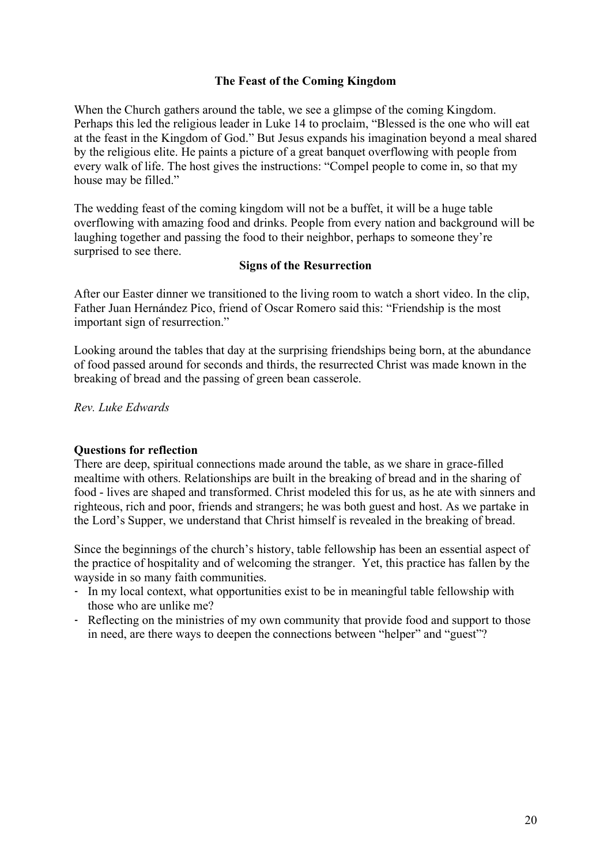## **The Feast of the Coming Kingdom**

When the Church gathers around the table, we see a glimpse of the coming Kingdom. Perhaps this led the religious leader in Luke 14 to proclaim, "Blessed is the one who will eat at the feast in the Kingdom of God." But Jesus expands his imagination beyond a meal shared by the religious elite. He paints a picture of a great banquet overflowing with people from every walk of life. The host gives the instructions: "Compel people to come in, so that my house may be filled."

The wedding feast of the coming kingdom will not be a buffet, it will be a huge table overflowing with amazing food and drinks. People from every nation and background will be laughing together and passing the food to their neighbor, perhaps to someone they're surprised to see there.

### **Signs of the Resurrection**

After our Easter dinner we transitioned to the living room to watch a short video. In the clip, Father Juan Hernández Pico, friend of Oscar Romero said this: "Friendship is the most important sign of resurrection."

Looking around the tables that day at the surprising friendships being born, at the abundance of food passed around for seconds and thirds, the resurrected Christ was made known in the breaking of bread and the passing of green bean casserole.

*Rev. Luke Edwards*

### **Questions for reflection**

There are deep, spiritual connections made around the table, as we share in grace-filled mealtime with others. Relationships are built in the breaking of bread and in the sharing of food - lives are shaped and transformed. Christ modeled this for us, as he ate with sinners and righteous, rich and poor, friends and strangers; he was both guest and host. As we partake in the Lord's Supper, we understand that Christ himself is revealed in the breaking of bread.

Since the beginnings of the church's history, table fellowship has been an essential aspect of the practice of hospitality and of welcoming the stranger. Yet, this practice has fallen by the wayside in so many faith communities.

- In my local context, what opportunities exist to be in meaningful table fellowship with those who are unlike me?
- Reflecting on the ministries of my own community that provide food and support to those in need, are there ways to deepen the connections between "helper" and "guest"?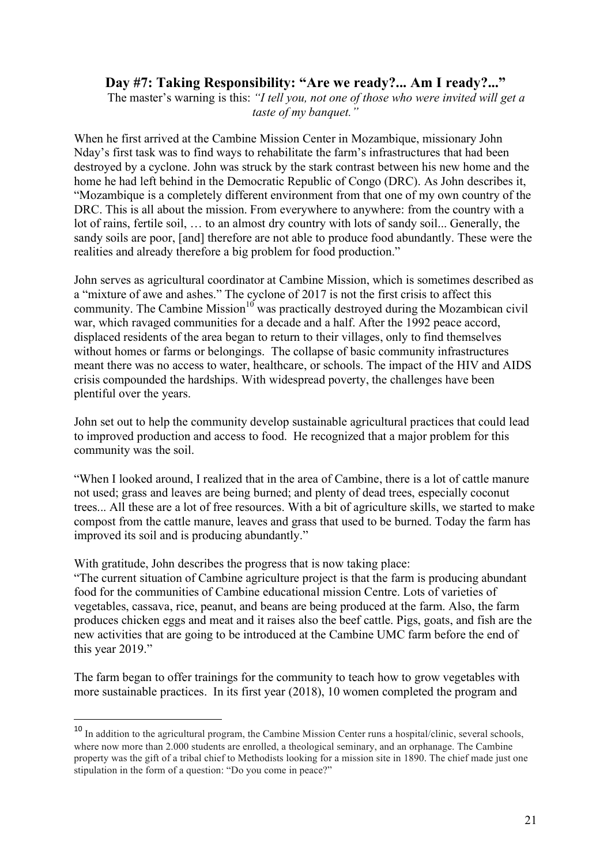# **Day #7: Taking Responsibility: "Are we ready?... Am I ready?..."**

 The master's warning is this: *"I tell you, not one of those who were invited will get a taste of my banquet."*

When he first arrived at the Cambine Mission Center in Mozambique, missionary John Nday's first task was to find ways to rehabilitate the farm's infrastructures that had been destroyed by a cyclone. John was struck by the stark contrast between his new home and the home he had left behind in the Democratic Republic of Congo (DRC). As John describes it, "Mozambique is a completely different environment from that one of my own country of the DRC. This is all about the mission. From everywhere to anywhere: from the country with a lot of rains, fertile soil, … to an almost dry country with lots of sandy soil... Generally, the sandy soils are poor, [and] therefore are not able to produce food abundantly. These were the realities and already therefore a big problem for food production."

John serves as agricultural coordinator at Cambine Mission, which is sometimes described as a "mixture of awe and ashes." The cyclone of 2017 is not the first crisis to affect this community. The Cambine Mission<sup>10</sup> was practically destroyed during the Mozambican civil war, which ravaged communities for a decade and a half. After the 1992 peace accord, displaced residents of the area began to return to their villages, only to find themselves without homes or farms or belongings. The collapse of basic community infrastructures meant there was no access to water, healthcare, or schools. The impact of the HIV and AIDS crisis compounded the hardships. With widespread poverty, the challenges have been plentiful over the years.

John set out to help the community develop sustainable agricultural practices that could lead to improved production and access to food. He recognized that a major problem for this community was the soil.

"When I looked around, I realized that in the area of Cambine, there is a lot of cattle manure not used; grass and leaves are being burned; and plenty of dead trees, especially coconut trees... All these are a lot of free resources. With a bit of agriculture skills, we started to make compost from the cattle manure, leaves and grass that used to be burned. Today the farm has improved its soil and is producing abundantly."

With gratitude, John describes the progress that is now taking place:

"The current situation of Cambine agriculture project is that the farm is producing abundant food for the communities of Cambine educational mission Centre. Lots of varieties of vegetables, cassava, rice, peanut, and beans are being produced at the farm. Also, the farm produces chicken eggs and meat and it raises also the beef cattle. Pigs, goats, and fish are the new activities that are going to be introduced at the Cambine UMC farm before the end of this year 2019."

The farm began to offer trainings for the community to teach how to grow vegetables with more sustainable practices. In its first year (2018), 10 women completed the program and

<sup>&</sup>lt;sup>10</sup> In addition to the agricultural program, the Cambine Mission Center runs a hospital/clinic, several schools, where now more than 2.000 students are enrolled, a theological seminary, and an orphanage. The Cambine property was the gift of a tribal chief to Methodists looking for a mission site in 1890. The chief made just one stipulation in the form of a question: "Do you come in peace?"